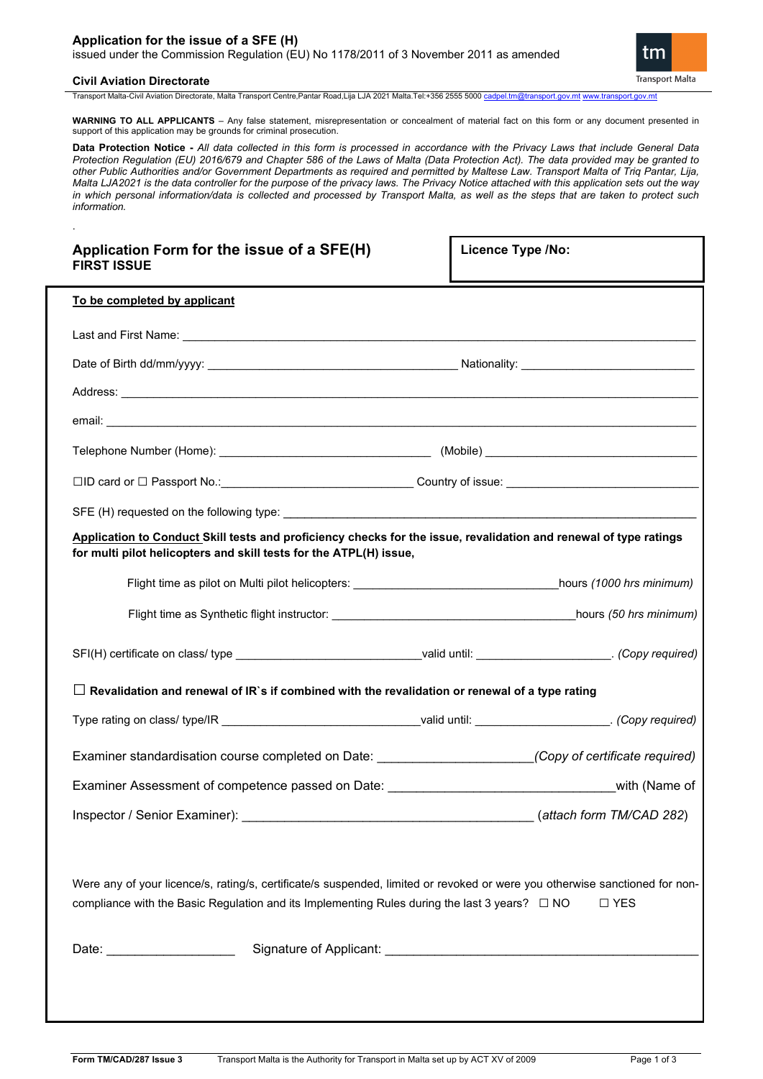# **Application for the issue of a SFE (H)**

issued under the Commission Regulation (EU) No 1178/2011 of 3 November 2011 as amended

### **Civil Aviation Directorate**

.

m **Transport Malta** 

Transport Malta-Civil Aviation Directorate, Malta Transport Centre,Pantar Road,Lija LJA 2021 Malta.Tel:+356 2555 5000 [cadpel.tm@transport.gov.mt](mailto:cadpel.tm@transport.gov.mt) [www.transport.gov.mt](http://www.transport.gov.mt/)

**WARNING TO ALL APPLICANTS** – Any false statement, misrepresentation or concealment of material fact on this form or any document presented in support of this application may be grounds for criminal prosecution.

**Data Protection Notice -** *All data collected in this form is processed in accordance with the Privacy Laws that include General Data Protection Regulation (EU) 2016/679 and Chapter 586 of the Laws of Malta (Data Protection Act). The data provided may be granted to other Public Authorities and/or Government Departments as required and permitted by Maltese Law. Transport Malta of Triq Pantar, Lija, Malta LJA2021 is the data controller for the purpose of the privacy laws. The Privacy Notice attached with this application sets out the way in which personal information/data is collected and processed by Transport Malta, as well as the steps that are taken to protect such information.*

| Application Form for the issue of a SFE(H)<br><b>FIRST ISSUE</b>                                                                                                                                                                                   | <b>Licence Type /No:</b> |  |
|----------------------------------------------------------------------------------------------------------------------------------------------------------------------------------------------------------------------------------------------------|--------------------------|--|
| To be completed by applicant                                                                                                                                                                                                                       |                          |  |
|                                                                                                                                                                                                                                                    |                          |  |
|                                                                                                                                                                                                                                                    |                          |  |
|                                                                                                                                                                                                                                                    |                          |  |
|                                                                                                                                                                                                                                                    |                          |  |
|                                                                                                                                                                                                                                                    |                          |  |
| □ID card or □ Passport No.:_________________________________Country of issue: ________________________________                                                                                                                                     |                          |  |
|                                                                                                                                                                                                                                                    |                          |  |
| Application to Conduct Skill tests and proficiency checks for the issue, revalidation and renewal of type ratings<br>for multi pilot helicopters and skill tests for the ATPL(H) issue,                                                            |                          |  |
|                                                                                                                                                                                                                                                    |                          |  |
|                                                                                                                                                                                                                                                    |                          |  |
| SFI(H) certificate on class/ type __________________________________valid until: ______________________. (Copy required)                                                                                                                           |                          |  |
| $\Box$ Revalidation and renewal of IR`s if combined with the revalidation or renewal of a type rating                                                                                                                                              |                          |  |
|                                                                                                                                                                                                                                                    |                          |  |
| Examiner standardisation course completed on Date: ______________________(Copy of certificate required)                                                                                                                                            |                          |  |
|                                                                                                                                                                                                                                                    |                          |  |
| Inspector / Senior Examiner):                                                                                                                                                                                                                      | (attach form TM/CAD 282) |  |
| Were any of your licence/s, rating/s, certificate/s suspended, limited or revoked or were you otherwise sanctioned for non-<br>compliance with the Basic Regulation and its Implementing Rules during the last 3 years? $\square$ NO<br>$\Box$ YES |                          |  |
| Date: ______________________                                                                                                                                                                                                                       |                          |  |
|                                                                                                                                                                                                                                                    |                          |  |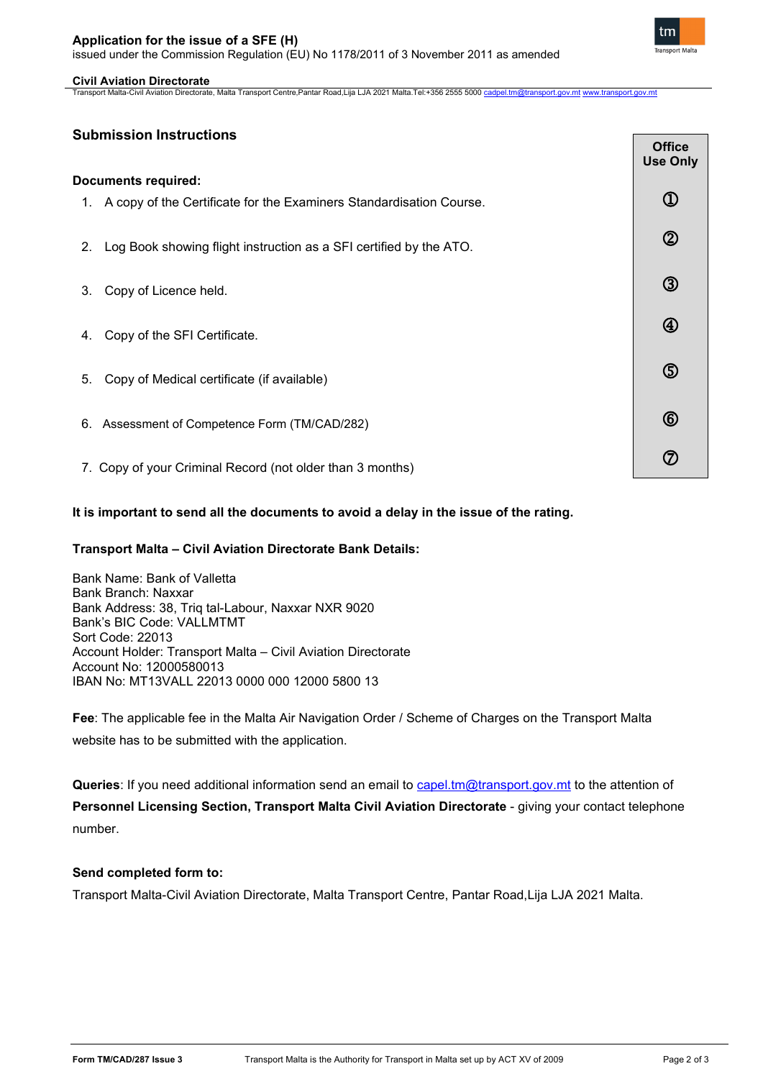# **Application for the issue of a SFE (H)**

issued under the Commission Regulation (EU) No 1178/2011 of 3 November 2011 as amended

 $\overline{\phantom{a}}$ 

# **Civil Aviation Directorate**

Transport Malta-Civil Aviation Directorate, Malta Transport Centre,Pantar Road,Lija LJA 2021 Malta.Tel:+356 2555 5000 [cadpel.tm@transport.gov.mt](mailto:cadpel.tm@transport.gov.mt) [www.transport.gov.mt](http://www.transport.gov.mt/)

# **Submission Instructions**

|                            |                                                                        | <b>QHICE</b><br><b>Use Only</b> |
|----------------------------|------------------------------------------------------------------------|---------------------------------|
| <b>Documents required:</b> |                                                                        |                                 |
|                            | 1. A copy of the Certificate for the Examiners Standardisation Course. | $\mathbb O$                     |
| 2.                         | Log Book showing flight instruction as a SFI certified by the ATO.     | $\circledS$                     |
| 3.                         | Copy of Licence held.                                                  | $\circledS$                     |
| 4.                         | Copy of the SFI Certificate.                                           | $^{\circledR}$                  |
| 5.                         | Copy of Medical certificate (if available)                             | $\circledS$                     |
|                            | 6. Assessment of Competence Form (TM/CAD/282)                          | $^{\circledR}$                  |
|                            | 7. Copy of your Criminal Record (not older than 3 months)              | $\circledcirc$                  |

# **It is important to send all the documents to avoid a delay in the issue of the rating.**

# **Transport Malta – Civil Aviation Directorate Bank Details:**

Bank Name: Bank of Valletta Bank Branch: Naxxar Bank Address: 38, Triq tal-Labour, Naxxar NXR 9020 Bank's BIC Code: VALLMTMT Sort Code: 22013 Account Holder: Transport Malta – Civil Aviation Directorate Account No: 12000580013 IBAN No: MT13VALL 22013 0000 000 12000 5800 13

**Fee**: The applicable fee in the Malta Air Navigation Order / Scheme of Charges on the Transport Malta website has to be submitted with the application.

**Queries**: If you need additional information send an email to [capel.tm@transport.gov.mt](mailto:capel.tm@transport.gov.mt) to the attention of **Personnel Licensing Section, Transport Malta Civil Aviation Directorate - giving your contact telephone** number.

# **Send completed form to:**

Transport Malta-Civil Aviation Directorate, Malta Transport Centre, Pantar Road,Lija LJA 2021 Malta.